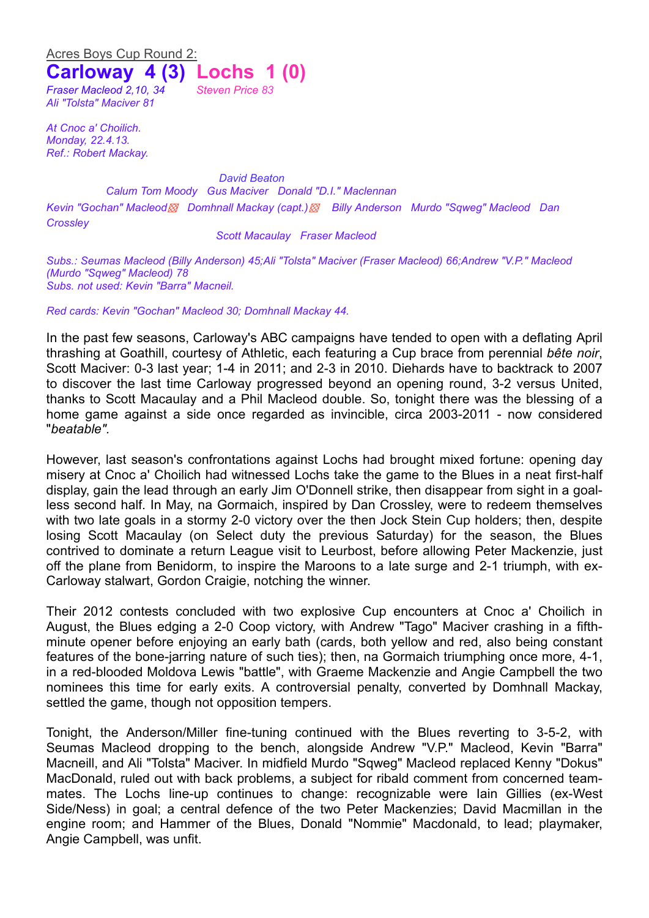## Acres Boys Cup Round 2: **Carloway 4 (3) Lochs 1 (0)**

*Fraser Macleod 2,10, 34 Steven Price 83 Ali "Tolsta" Maciver 81*

*At Cnoc a' Choilich. Monday, 22.4.13. Ref.: Robert Mackay.*

*David Beaton Calum Tom Moody Gus Maciver Donald "D.I." Maclennan Kevin "Gochan" Macleod▩ Domhnall Mackay (capt.)▩ Billy Anderson Murdo "Sqweg" Macleod Dan Crossley*

*Scott Macaulay Fraser Macleod*

*Subs.: Seumas Macleod (Billy Anderson) 45;Ali "Tolsta" Maciver (Fraser Macleod) 66;Andrew "V.P." Macleod (Murdo "Sqweg" Macleod) 78 Subs. not used: Kevin "Barra" Macneil.*

*Red cards: Kevin "Gochan" Macleod 30; Domhnall Mackay 44.*

In the past few seasons, Carloway's ABC campaigns have tended to open with a deflating April thrashing at Goathill, courtesy of Athletic, each featuring a Cup brace from perennial *bête noir*, Scott Maciver: 0-3 last year; 1-4 in 2011; and 2-3 in 2010. Diehards have to backtrack to 2007 to discover the last time Carloway progressed beyond an opening round, 3-2 versus United, thanks to Scott Macaulay and a Phil Macleod double. So, tonight there was the blessing of a home game against a side once regarded as invincible, circa 2003-2011 - now considered "*beatable".*

However, last season's confrontations against Lochs had brought mixed fortune: opening day misery at Cnoc a' Choilich had witnessed Lochs take the game to the Blues in a neat first-half display, gain the lead through an early Jim O'Donnell strike, then disappear from sight in a goalless second half. In May, na Gormaich, inspired by Dan Crossley, were to redeem themselves with two late goals in a stormy 2-0 victory over the then Jock Stein Cup holders; then, despite losing Scott Macaulay (on Select duty the previous Saturday) for the season, the Blues contrived to dominate a return League visit to Leurbost, before allowing Peter Mackenzie, just off the plane from Benidorm, to inspire the Maroons to a late surge and 2-1 triumph, with ex-Carloway stalwart, Gordon Craigie, notching the winner.

Their 2012 contests concluded with two explosive Cup encounters at Cnoc a' Choilich in August, the Blues edging a 2-0 Coop victory, with Andrew "Tago" Maciver crashing in a fifthminute opener before enjoying an early bath (cards, both yellow and red, also being constant features of the bone-jarring nature of such ties); then, na Gormaich triumphing once more, 4-1, in a red-blooded Moldova Lewis "battle", with Graeme Mackenzie and Angie Campbell the two nominees this time for early exits. A controversial penalty, converted by Domhnall Mackay, settled the game, though not opposition tempers.

Tonight, the Anderson/Miller fine-tuning continued with the Blues reverting to 3-5-2, with Seumas Macleod dropping to the bench, alongside Andrew "V.P." Macleod, Kevin "Barra" Macneill, and Ali "Tolsta" Maciver. In midfield Murdo "Sqweg" Macleod replaced Kenny "Dokus" MacDonald, ruled out with back problems, a subject for ribald comment from concerned teammates. The Lochs line-up continues to change: recognizable were Iain Gillies (ex-West Side/Ness) in goal; a central defence of the two Peter Mackenzies; David Macmillan in the engine room; and Hammer of the Blues, Donald "Nommie" Macdonald, to lead; playmaker, Angie Campbell, was unfit.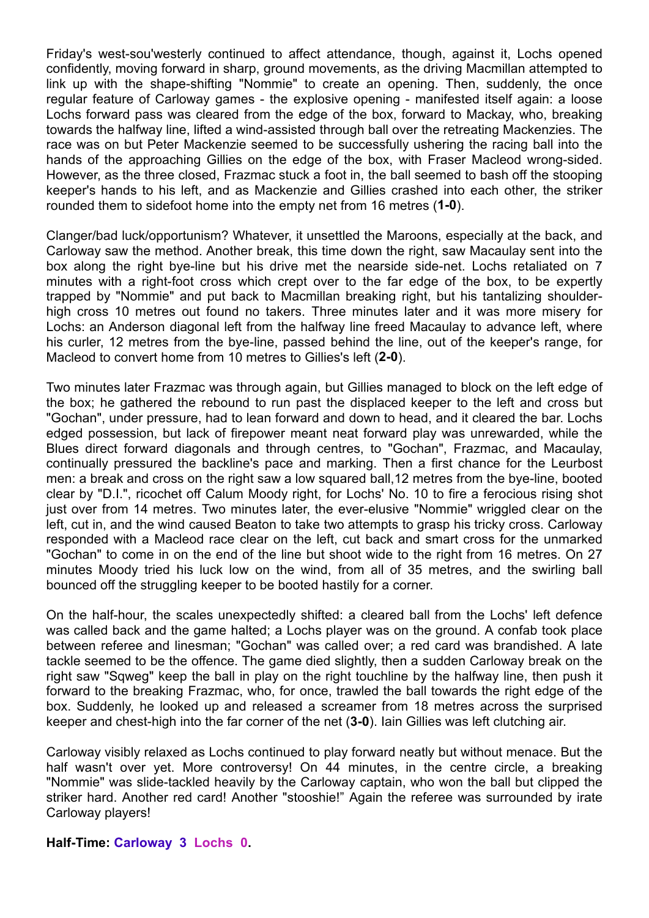Friday's west-sou'westerly continued to affect attendance, though, against it, Lochs opened confidently, moving forward in sharp, ground movements, as the driving Macmillan attempted to link up with the shape-shifting "Nommie" to create an opening. Then, suddenly, the once regular feature of Carloway games - the explosive opening - manifested itself again: a loose Lochs forward pass was cleared from the edge of the box, forward to Mackay, who, breaking towards the halfway line, lifted a wind-assisted through ball over the retreating Mackenzies. The race was on but Peter Mackenzie seemed to be successfully ushering the racing ball into the hands of the approaching Gillies on the edge of the box, with Fraser Macleod wrong-sided. However, as the three closed, Frazmac stuck a foot in, the ball seemed to bash off the stooping keeper's hands to his left, and as Mackenzie and Gillies crashed into each other, the striker rounded them to sidefoot home into the empty net from 16 metres (**1-0**).

Clanger/bad luck/opportunism? Whatever, it unsettled the Maroons, especially at the back, and Carloway saw the method. Another break, this time down the right, saw Macaulay sent into the box along the right bye-line but his drive met the nearside side-net. Lochs retaliated on 7 minutes with a right-foot cross which crept over to the far edge of the box, to be expertly trapped by "Nommie" and put back to Macmillan breaking right, but his tantalizing shoulderhigh cross 10 metres out found no takers. Three minutes later and it was more misery for Lochs: an Anderson diagonal left from the halfway line freed Macaulay to advance left, where his curler, 12 metres from the bye-line, passed behind the line, out of the keeper's range, for Macleod to convert home from 10 metres to Gillies's left (**2-0**).

Two minutes later Frazmac was through again, but Gillies managed to block on the left edge of the box; he gathered the rebound to run past the displaced keeper to the left and cross but "Gochan", under pressure, had to lean forward and down to head, and it cleared the bar. Lochs edged possession, but lack of firepower meant neat forward play was unrewarded, while the Blues direct forward diagonals and through centres, to "Gochan", Frazmac, and Macaulay, continually pressured the backline's pace and marking. Then a first chance for the Leurbost men: a break and cross on the right saw a low squared ball,12 metres from the bye-line, booted clear by "D.I.", ricochet off Calum Moody right, for Lochs' No. 10 to fire a ferocious rising shot just over from 14 metres. Two minutes later, the ever-elusive "Nommie" wriggled clear on the left, cut in, and the wind caused Beaton to take two attempts to grasp his tricky cross. Carloway responded with a Macleod race clear on the left, cut back and smart cross for the unmarked "Gochan" to come in on the end of the line but shoot wide to the right from 16 metres. On 27 minutes Moody tried his luck low on the wind, from all of 35 metres, and the swirling ball bounced off the struggling keeper to be booted hastily for a corner.

On the half-hour, the scales unexpectedly shifted: a cleared ball from the Lochs' left defence was called back and the game halted; a Lochs player was on the ground. A confab took place between referee and linesman; "Gochan" was called over; a red card was brandished. A late tackle seemed to be the offence. The game died slightly, then a sudden Carloway break on the right saw "Sqweg" keep the ball in play on the right touchline by the halfway line, then push it forward to the breaking Frazmac, who, for once, trawled the ball towards the right edge of the box. Suddenly, he looked up and released a screamer from 18 metres across the surprised keeper and chest-high into the far corner of the net (**3-0**). Iain Gillies was left clutching air.

Carloway visibly relaxed as Lochs continued to play forward neatly but without menace. But the half wasn't over yet. More controversy! On 44 minutes, in the centre circle, a breaking "Nommie" was slide-tackled heavily by the Carloway captain, who won the ball but clipped the striker hard. Another red card! Another "stooshie!" Again the referee was surrounded by irate Carloway players!

**Half-Time: Carloway 3 Lochs 0.**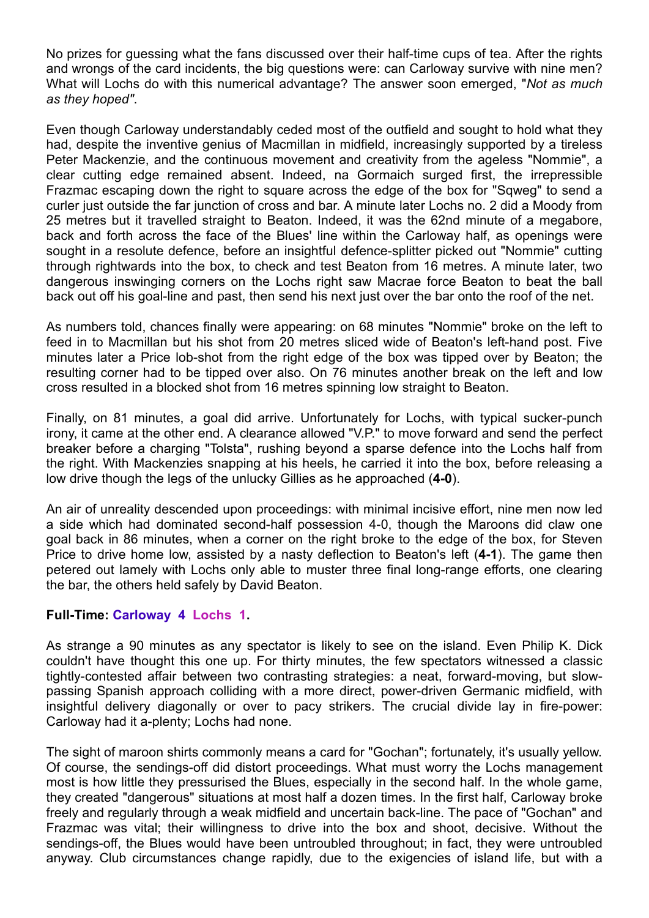No prizes for guessing what the fans discussed over their half-time cups of tea. After the rights and wrongs of the card incidents, the big questions were: can Carloway survive with nine men? What will Lochs do with this numerical advantage? The answer soon emerged, "*Not as much as they hoped"*.

Even though Carloway understandably ceded most of the outfield and sought to hold what they had, despite the inventive genius of Macmillan in midfield, increasingly supported by a tireless Peter Mackenzie, and the continuous movement and creativity from the ageless "Nommie", a clear cutting edge remained absent. Indeed, na Gormaich surged first, the irrepressible Frazmac escaping down the right to square across the edge of the box for "Sqweg" to send a curler just outside the far junction of cross and bar. A minute later Lochs no. 2 did a Moody from 25 metres but it travelled straight to Beaton. Indeed, it was the 62nd minute of a megabore, back and forth across the face of the Blues' line within the Carloway half, as openings were sought in a resolute defence, before an insightful defence-splitter picked out "Nommie" cutting through rightwards into the box, to check and test Beaton from 16 metres. A minute later, two dangerous inswinging corners on the Lochs right saw Macrae force Beaton to beat the ball back out off his goal-line and past, then send his next just over the bar onto the roof of the net.

As numbers told, chances finally were appearing: on 68 minutes "Nommie" broke on the left to feed in to Macmillan but his shot from 20 metres sliced wide of Beaton's left-hand post. Five minutes later a Price lob-shot from the right edge of the box was tipped over by Beaton; the resulting corner had to be tipped over also. On 76 minutes another break on the left and low cross resulted in a blocked shot from 16 metres spinning low straight to Beaton.

Finally, on 81 minutes, a goal did arrive. Unfortunately for Lochs, with typical sucker-punch irony, it came at the other end. A clearance allowed "V.P." to move forward and send the perfect breaker before a charging "Tolsta", rushing beyond a sparse defence into the Lochs half from the right. With Mackenzies snapping at his heels, he carried it into the box, before releasing a low drive though the legs of the unlucky Gillies as he approached (**4-0**).

An air of unreality descended upon proceedings: with minimal incisive effort, nine men now led a side which had dominated second-half possession 4-0, though the Maroons did claw one goal back in 86 minutes, when a corner on the right broke to the edge of the box, for Steven Price to drive home low, assisted by a nasty deflection to Beaton's left (**4-1**). The game then petered out lamely with Lochs only able to muster three final long-range efforts, one clearing the bar, the others held safely by David Beaton.

## **Full-Time: Carloway 4 Lochs 1.**

As strange a 90 minutes as any spectator is likely to see on the island. Even Philip K. Dick couldn't have thought this one up. For thirty minutes, the few spectators witnessed a classic tightly-contested affair between two contrasting strategies: a neat, forward-moving, but slowpassing Spanish approach colliding with a more direct, power-driven Germanic midfield, with insightful delivery diagonally or over to pacy strikers. The crucial divide lay in fire-power: Carloway had it a-plenty; Lochs had none.

The sight of maroon shirts commonly means a card for "Gochan"; fortunately, it's usually yellow. Of course, the sendings-off did distort proceedings. What must worry the Lochs management most is how little they pressurised the Blues, especially in the second half. In the whole game, they created "dangerous" situations at most half a dozen times. In the first half, Carloway broke freely and regularly through a weak midfield and uncertain back-line. The pace of "Gochan" and Frazmac was vital; their willingness to drive into the box and shoot, decisive. Without the sendings-off, the Blues would have been untroubled throughout; in fact, they were untroubled anyway. Club circumstances change rapidly, due to the exigencies of island life, but with a